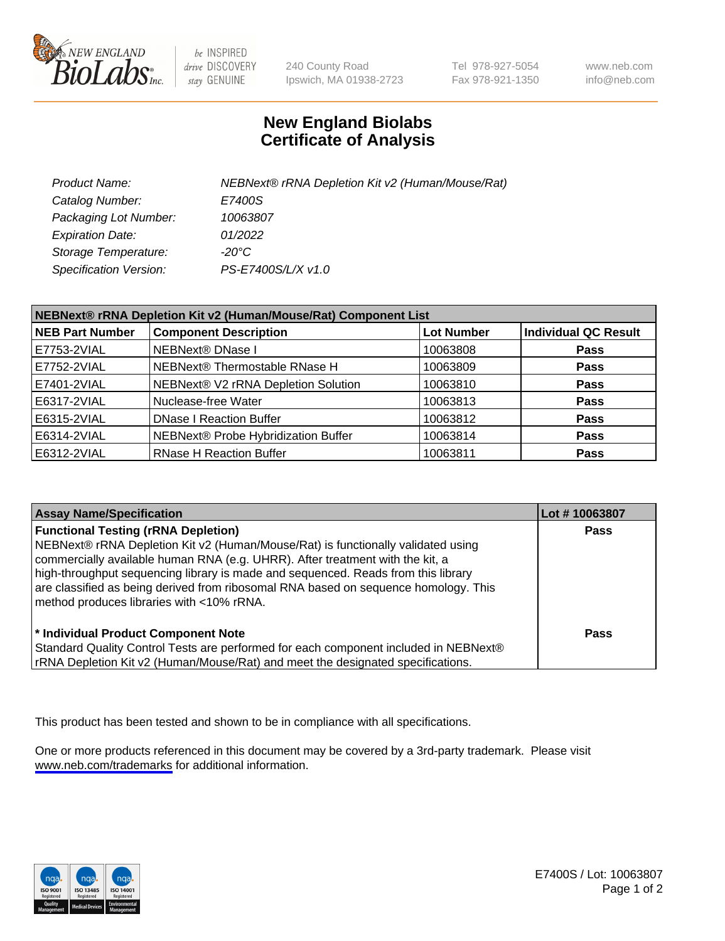

be INSPIRED drive DISCOVERY stay GENUINE

240 County Road Ipswich, MA 01938-2723 Tel 978-927-5054 Fax 978-921-1350

www.neb.com info@neb.com

## **New England Biolabs Certificate of Analysis**

| Product Name:           | NEBNext® rRNA Depletion Kit v2 (Human/Mouse/Rat) |
|-------------------------|--------------------------------------------------|
| Catalog Number:         | E7400S                                           |
| Packaging Lot Number:   | 10063807                                         |
| <b>Expiration Date:</b> | 01/2022                                          |
| Storage Temperature:    | -20°C                                            |
| Specification Version:  | PS-E7400S/L/X v1.0                               |

| NEBNext® rRNA Depletion Kit v2 (Human/Mouse/Rat) Component List |                                     |                   |                             |
|-----------------------------------------------------------------|-------------------------------------|-------------------|-----------------------------|
| <b>NEB Part Number</b>                                          | <b>Component Description</b>        | <b>Lot Number</b> | <b>Individual QC Result</b> |
| E7753-2VIAL                                                     | NEBNext® DNase I                    | 10063808          | <b>Pass</b>                 |
| E7752-2VIAL                                                     | NEBNext® Thermostable RNase H       | 10063809          | <b>Pass</b>                 |
| E7401-2VIAL                                                     | NEBNext® V2 rRNA Depletion Solution | 10063810          | <b>Pass</b>                 |
| E6317-2VIAL                                                     | Nuclease-free Water                 | 10063813          | <b>Pass</b>                 |
| E6315-2VIAL                                                     | <b>DNase I Reaction Buffer</b>      | 10063812          | <b>Pass</b>                 |
| E6314-2VIAL                                                     | NEBNext® Probe Hybridization Buffer | 10063814          | <b>Pass</b>                 |
| E6312-2VIAL                                                     | <b>RNase H Reaction Buffer</b>      | 10063811          | <b>Pass</b>                 |

| <b>Assay Name/Specification</b>                                                                                                                                                                                                                                                                                                                                                             | Lot #10063807 |
|---------------------------------------------------------------------------------------------------------------------------------------------------------------------------------------------------------------------------------------------------------------------------------------------------------------------------------------------------------------------------------------------|---------------|
| <b>Functional Testing (rRNA Depletion)</b><br>NEBNext® rRNA Depletion Kit v2 (Human/Mouse/Rat) is functionally validated using<br>commercially available human RNA (e.g. UHRR). After treatment with the kit, a<br>high-throughput sequencing library is made and sequenced. Reads from this library<br>are classified as being derived from ribosomal RNA based on sequence homology. This | <b>Pass</b>   |
| method produces libraries with <10% rRNA.<br>* Individual Product Component Note<br>Standard Quality Control Tests are performed for each component included in NEBNext®<br>rRNA Depletion Kit v2 (Human/Mouse/Rat) and meet the designated specifications.                                                                                                                                 | Pass          |

This product has been tested and shown to be in compliance with all specifications.

One or more products referenced in this document may be covered by a 3rd-party trademark. Please visit <www.neb.com/trademarks>for additional information.